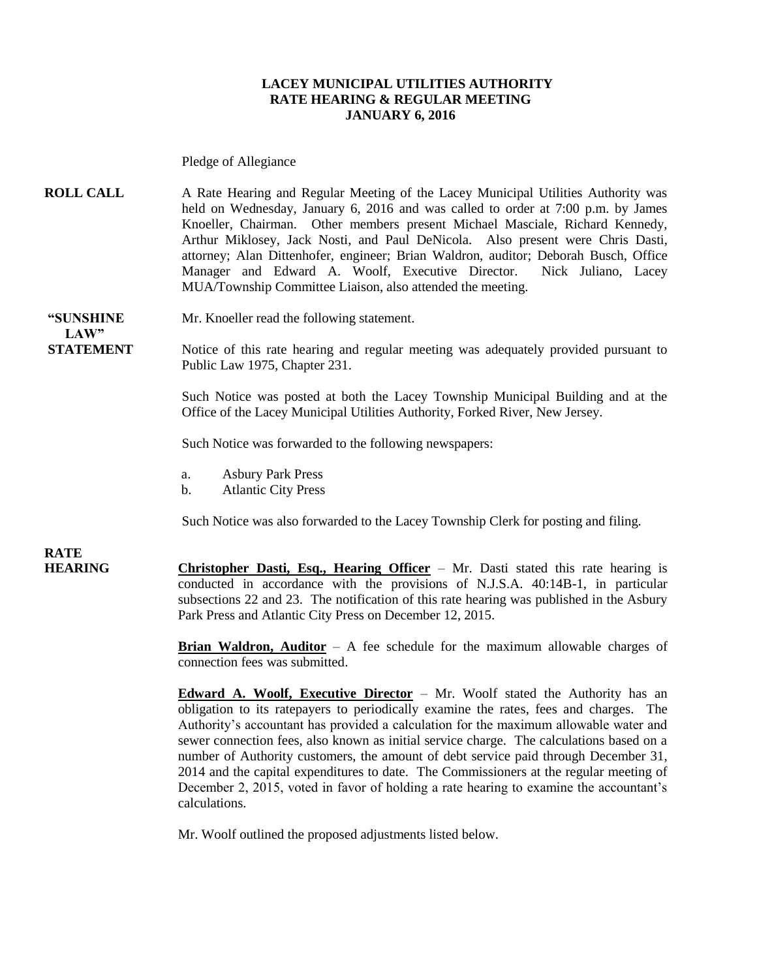### **LACEY MUNICIPAL UTILITIES AUTHORITY RATE HEARING & REGULAR MEETING JANUARY 6, 2016**

Pledge of Allegiance

**ROLL CALL** A Rate Hearing and Regular Meeting of the Lacey Municipal Utilities Authority was held on Wednesday, January 6, 2016 and was called to order at 7:00 p.m. by James Knoeller, Chairman. Other members present Michael Masciale, Richard Kennedy, Arthur Miklosey, Jack Nosti, and Paul DeNicola. Also present were Chris Dasti, attorney; Alan Dittenhofer, engineer; Brian Waldron, auditor; Deborah Busch, Office Manager and Edward A. Woolf, Executive Director. Nick Juliano, Lacey MUA/Township Committee Liaison, also attended the meeting.

 $LAW"$ 

**"SUNSHINE** Mr. Knoeller read the following statement.

**STATEMENT** Notice of this rate hearing and regular meeting was adequately provided pursuant to Public Law 1975, Chapter 231.

> Such Notice was posted at both the Lacey Township Municipal Building and at the Office of the Lacey Municipal Utilities Authority, Forked River, New Jersey.

Such Notice was forwarded to the following newspapers:

- a. Asbury Park Press
- b. Atlantic City Press

Such Notice was also forwarded to the Lacey Township Clerk for posting and filing.

**RATE** 

**HEARING Christopher Dasti, Esq., Hearing Officer** – Mr. Dasti stated this rate hearing is conducted in accordance with the provisions of N.J.S.A. 40:14B-1, in particular subsections 22 and 23. The notification of this rate hearing was published in the Asbury Park Press and Atlantic City Press on December 12, 2015.

> **Brian Waldron, Auditor** – A fee schedule for the maximum allowable charges of connection fees was submitted.

> **Edward A. Woolf, Executive Director** – Mr. Woolf stated the Authority has an obligation to its ratepayers to periodically examine the rates, fees and charges. The Authority's accountant has provided a calculation for the maximum allowable water and sewer connection fees, also known as initial service charge. The calculations based on a number of Authority customers, the amount of debt service paid through December 31, 2014 and the capital expenditures to date. The Commissioners at the regular meeting of December 2, 2015, voted in favor of holding a rate hearing to examine the accountant's calculations.

Mr. Woolf outlined the proposed adjustments listed below.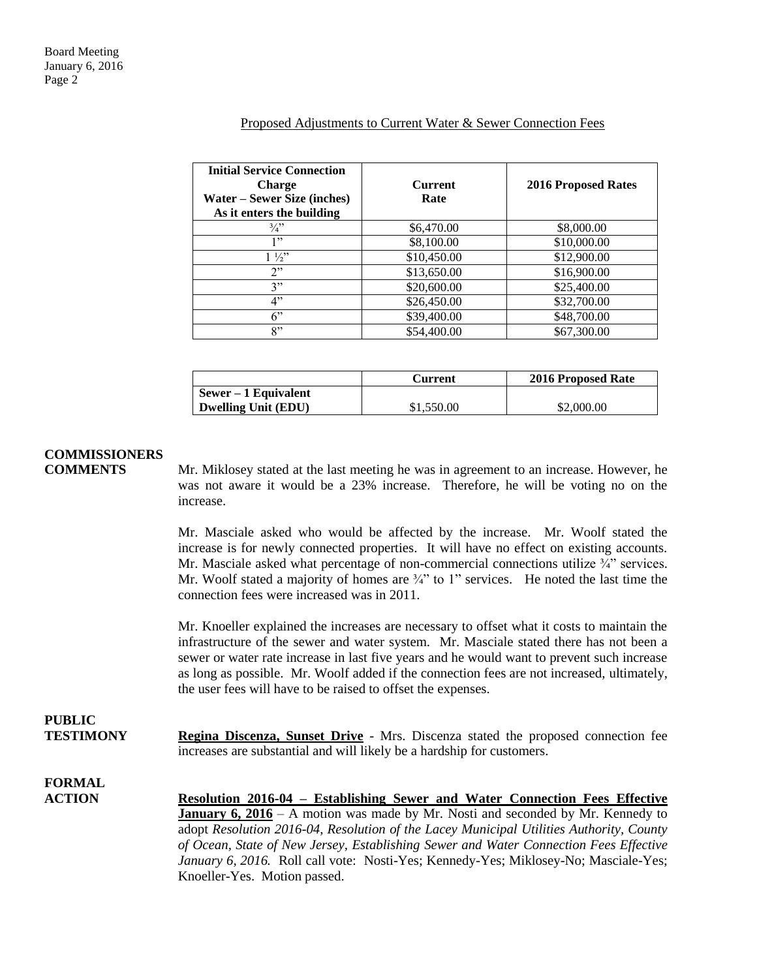#### Proposed Adjustments to Current Water & Sewer Connection Fees

| <b>Initial Service Connection</b><br><b>Charge</b><br><b>Water – Sewer Size (inches)</b><br>As it enters the building | <b>Current</b><br>Rate | <b>2016 Proposed Rates</b> |
|-----------------------------------------------------------------------------------------------------------------------|------------------------|----------------------------|
| $\frac{3}{4}$                                                                                                         | \$6,470.00             | \$8,000.00                 |
| 1"                                                                                                                    | \$8,100.00             | \$10,000.00                |
| $1\frac{1}{2}$                                                                                                        | \$10,450.00            | \$12,900.00                |
| 2"                                                                                                                    | \$13,650.00            | \$16,900.00                |
| 3"                                                                                                                    | \$20,600.00            | \$25,400.00                |
| 4"                                                                                                                    | \$26,450.00            | \$32,700.00                |
| $6$ "                                                                                                                 | \$39,400.00            | \$48,700.00                |
| 8"                                                                                                                    | \$54,400.00            | \$67,300.00                |

|                            | Current    | 2016 Proposed Rate |
|----------------------------|------------|--------------------|
| $Sewer - 1$ Equivalent     |            |                    |
| <b>Dwelling Unit (EDU)</b> | \$1,550.00 | \$2,000.00         |

### **COMMISSIONERS**

 $P$ 

**COMMENTS** Mr. Miklosey stated at the last meeting he was in agreement to an increase. However, he was not aware it would be a 23% increase. Therefore, he will be voting no on the increase.

> Mr. Masciale asked who would be affected by the increase. Mr. Woolf stated the increase is for newly connected properties. It will have no effect on existing accounts. Mr. Masciale asked what percentage of non-commercial connections utilize  $\frac{3}{4}$  services. Mr. Woolf stated a majority of homes are  $\frac{3}{4}$  to 1" services. He noted the last time the connection fees were increased was in 2011.

> Mr. Knoeller explained the increases are necessary to offset what it costs to maintain the infrastructure of the sewer and water system. Mr. Masciale stated there has not been a sewer or water rate increase in last five years and he would want to prevent such increase as long as possible. Mr. Woolf added if the connection fees are not increased, ultimately, the user fees will have to be raised to offset the expenses.

| <b>FUDLIU</b>                  | <b>Regina Discenza, Sunset Drive</b> - Mrs. Discenza stated the proposed connection fee |
|--------------------------------|-----------------------------------------------------------------------------------------|
| <b>TESTIMONY</b>               | increases are substantial and will likely be a hardship for customers.                  |
| <b>FORMAL</b><br><b>ACTION</b> | Resolution 2016-04 – Establishing Sewer and Water Connection Fees Effective             |

**Resolution 2016-04 – Establishing Sewer and Water Connection Fees Effective January 6, 2016** – A motion was made by Mr. Nosti and seconded by Mr. Kennedy to adopt *Resolution 2016-04, Resolution of the Lacey Municipal Utilities Authority, County of Ocean, State of New Jersey, Establishing Sewer and Water Connection Fees Effective January 6, 2016.* Roll call vote: Nosti-Yes; Kennedy-Yes; Miklosey-No; Masciale-Yes; Knoeller-Yes. Motion passed.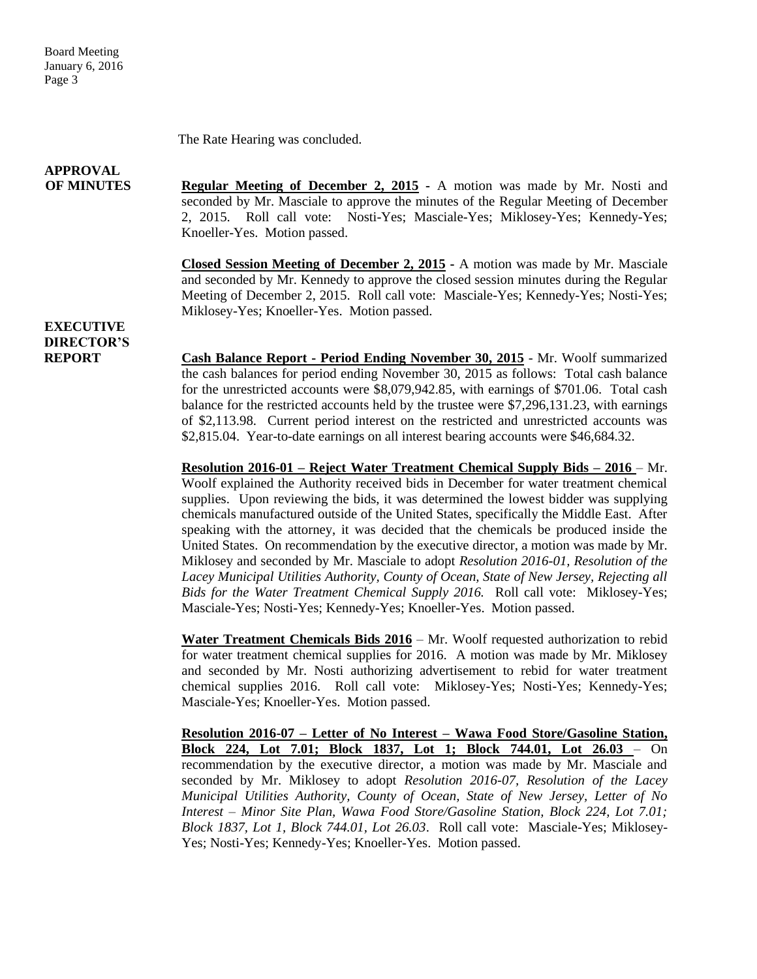Board Meeting January 6, 2016 Page 3

The Rate Hearing was concluded.

## **APPROVAL**

**OF MINUTES Regular Meeting of December 2, 2015 -** A motion was made by Mr. Nosti and seconded by Mr. Masciale to approve the minutes of the Regular Meeting of December 2, 2015. Roll call vote: Nosti-Yes; Masciale-Yes; Miklosey-Yes; Kennedy-Yes; Knoeller-Yes. Motion passed.

> **Closed Session Meeting of December 2, 2015 -** A motion was made by Mr. Masciale and seconded by Mr. Kennedy to approve the closed session minutes during the Regular Meeting of December 2, 2015. Roll call vote: Masciale-Yes; Kennedy-Yes; Nosti-Yes; Miklosey-Yes; Knoeller-Yes. Motion passed.

### **EXECUTIVE DIRECTOR'S**

**REPORT Cash Balance Report - Period Ending November 30, 2015** - Mr. Woolf summarized the cash balances for period ending November 30, 2015 as follows: Total cash balance for the unrestricted accounts were \$8,079,942.85, with earnings of \$701.06. Total cash balance for the restricted accounts held by the trustee were \$7,296,131.23, with earnings of \$2,113.98. Current period interest on the restricted and unrestricted accounts was \$2,815.04. Year-to-date earnings on all interest bearing accounts were \$46,684.32.

> **Resolution 2016-01 – Reject Water Treatment Chemical Supply Bids – 2016** – Mr. Woolf explained the Authority received bids in December for water treatment chemical supplies. Upon reviewing the bids, it was determined the lowest bidder was supplying chemicals manufactured outside of the United States, specifically the Middle East. After speaking with the attorney, it was decided that the chemicals be produced inside the United States. On recommendation by the executive director, a motion was made by Mr. Miklosey and seconded by Mr. Masciale to adopt *Resolution 2016-01, Resolution of the Lacey Municipal Utilities Authority, County of Ocean, State of New Jersey, Rejecting all Bids for the Water Treatment Chemical Supply 2016.* Roll call vote: Miklosey-Yes; Masciale-Yes; Nosti-Yes; Kennedy-Yes; Knoeller-Yes. Motion passed.

> **Water Treatment Chemicals Bids 2016** – Mr. Woolf requested authorization to rebid for water treatment chemical supplies for 2016. A motion was made by Mr. Miklosey and seconded by Mr. Nosti authorizing advertisement to rebid for water treatment chemical supplies 2016. Roll call vote: Miklosey-Yes; Nosti-Yes; Kennedy-Yes; Masciale-Yes; Knoeller-Yes. Motion passed.

> **Resolution 2016-07 – Letter of No Interest – Wawa Food Store/Gasoline Station, Block 224, Lot 7.01; Block 1837, Lot 1; Block 744.01, Lot 26.03** – On recommendation by the executive director, a motion was made by Mr. Masciale and seconded by Mr. Miklosey to adopt *Resolution 2016-07, Resolution of the Lacey Municipal Utilities Authority, County of Ocean, State of New Jersey, Letter of No Interest – Minor Site Plan, Wawa Food Store/Gasoline Station, Block 224, Lot 7.01; Block 1837, Lot 1, Block 744.01, Lot 26.03*. Roll call vote: Masciale-Yes; Miklosey-Yes; Nosti-Yes; Kennedy-Yes; Knoeller-Yes. Motion passed.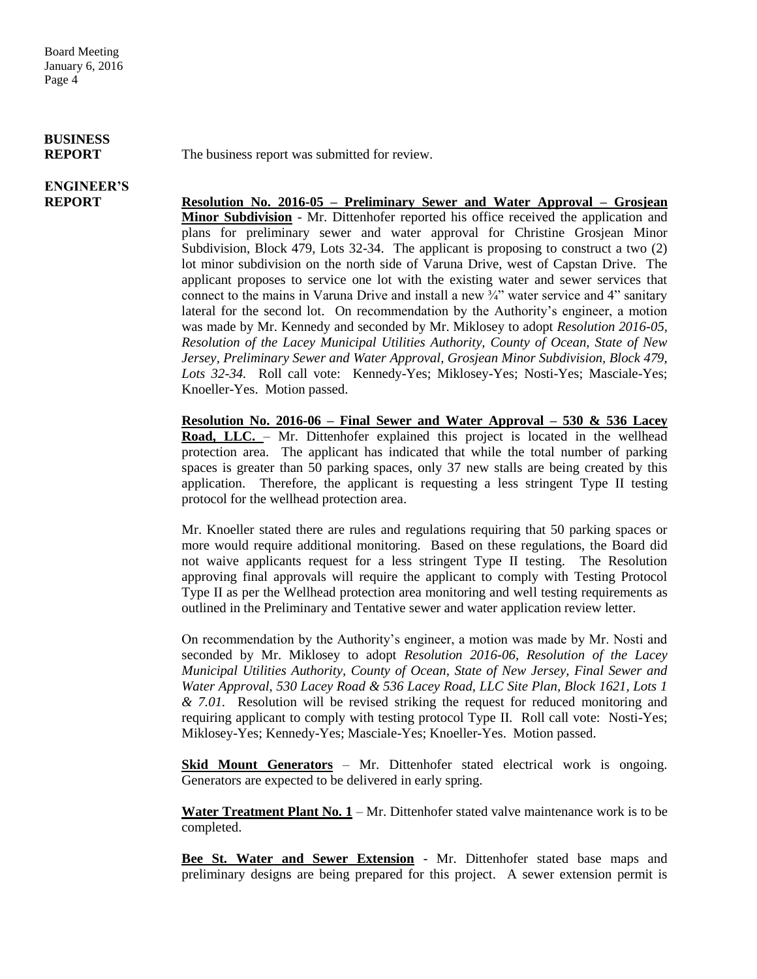# **BUSINESS**

**ENGINEER'S**

**REPORT** The business report was submitted for review.

**REPORT Resolution No. 2016-05 – Preliminary Sewer and Water Approval – Grosjean Minor Subdivision** - Mr. Dittenhofer reported his office received the application and plans for preliminary sewer and water approval for Christine Grosjean Minor Subdivision, Block 479, Lots 32-34. The applicant is proposing to construct a two (2) lot minor subdivision on the north side of Varuna Drive, west of Capstan Drive. The applicant proposes to service one lot with the existing water and sewer services that connect to the mains in Varuna Drive and install a new  $\frac{3}{4}$  water service and 4" sanitary lateral for the second lot. On recommendation by the Authority's engineer, a motion was made by Mr. Kennedy and seconded by Mr. Miklosey to adopt *Resolution 2016-05, Resolution of the Lacey Municipal Utilities Authority, County of Ocean, State of New Jersey, Preliminary Sewer and Water Approval, Grosjean Minor Subdivision, Block 479, Lots 32-34.* Roll call vote: Kennedy-Yes; Miklosey-Yes; Nosti-Yes; Masciale-Yes; Knoeller-Yes. Motion passed.

> **Resolution No. 2016-06 – Final Sewer and Water Approval – 530 & 536 Lacey**  Road, LLC. - Mr. Dittenhofer explained this project is located in the wellhead protection area. The applicant has indicated that while the total number of parking spaces is greater than 50 parking spaces, only 37 new stalls are being created by this application. Therefore, the applicant is requesting a less stringent Type II testing protocol for the wellhead protection area.

> Mr. Knoeller stated there are rules and regulations requiring that 50 parking spaces or more would require additional monitoring. Based on these regulations, the Board did not waive applicants request for a less stringent Type II testing. The Resolution approving final approvals will require the applicant to comply with Testing Protocol Type II as per the Wellhead protection area monitoring and well testing requirements as outlined in the Preliminary and Tentative sewer and water application review letter.

> On recommendation by the Authority's engineer, a motion was made by Mr. Nosti and seconded by Mr. Miklosey to adopt *Resolution 2016-06, Resolution of the Lacey Municipal Utilities Authority, County of Ocean, State of New Jersey, Final Sewer and Water Approval, 530 Lacey Road & 536 Lacey Road, LLC Site Plan, Block 1621, Lots 1 & 7.01.* Resolution will be revised striking the request for reduced monitoring and requiring applicant to comply with testing protocol Type II. Roll call vote: Nosti-Yes; Miklosey-Yes; Kennedy-Yes; Masciale-Yes; Knoeller-Yes. Motion passed.

> **Skid Mount Generators** – Mr. Dittenhofer stated electrical work is ongoing. Generators are expected to be delivered in early spring.

> **Water Treatment Plant No. 1** – Mr. Dittenhofer stated valve maintenance work is to be completed.

> **Bee St. Water and Sewer Extension** - Mr. Dittenhofer stated base maps and preliminary designs are being prepared for this project. A sewer extension permit is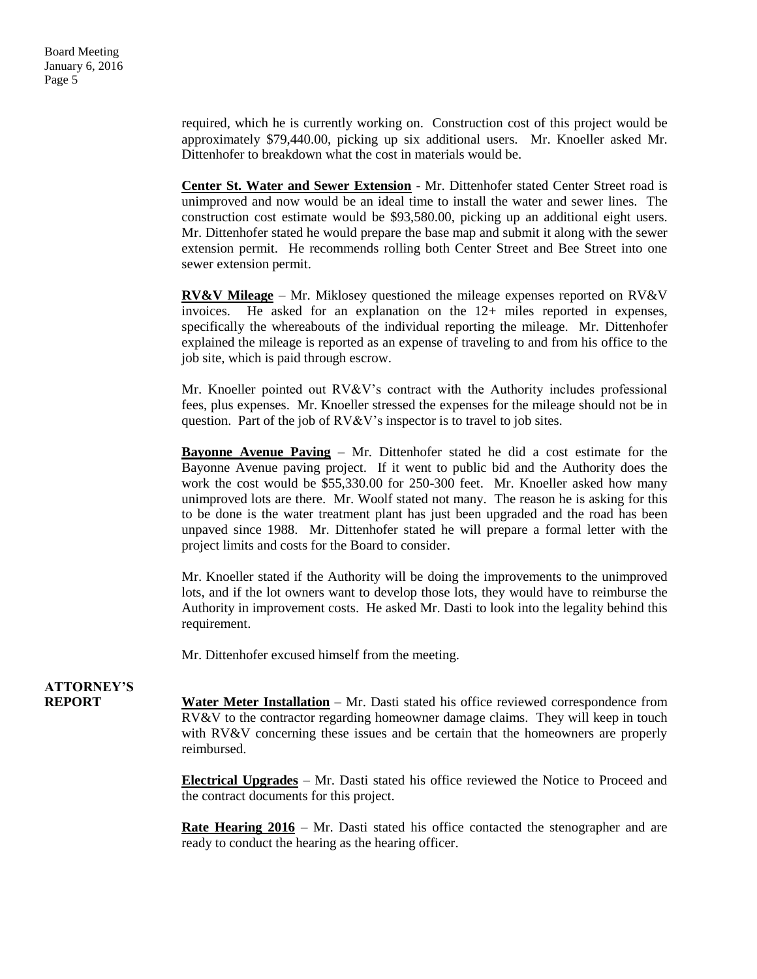required, which he is currently working on. Construction cost of this project would be approximately \$79,440.00, picking up six additional users. Mr. Knoeller asked Mr. Dittenhofer to breakdown what the cost in materials would be.

**Center St. Water and Sewer Extension** - Mr. Dittenhofer stated Center Street road is unimproved and now would be an ideal time to install the water and sewer lines. The construction cost estimate would be \$93,580.00, picking up an additional eight users. Mr. Dittenhofer stated he would prepare the base map and submit it along with the sewer extension permit. He recommends rolling both Center Street and Bee Street into one sewer extension permit.

**RV&V Mileage** – Mr. Miklosey questioned the mileage expenses reported on RV&V invoices. He asked for an explanation on the 12+ miles reported in expenses, specifically the whereabouts of the individual reporting the mileage. Mr. Dittenhofer explained the mileage is reported as an expense of traveling to and from his office to the job site, which is paid through escrow.

Mr. Knoeller pointed out RV&V's contract with the Authority includes professional fees, plus expenses. Mr. Knoeller stressed the expenses for the mileage should not be in question. Part of the job of RV&V's inspector is to travel to job sites.

**Bayonne Avenue Paving** – Mr. Dittenhofer stated he did a cost estimate for the Bayonne Avenue paving project. If it went to public bid and the Authority does the work the cost would be \$55,330.00 for 250-300 feet. Mr. Knoeller asked how many unimproved lots are there. Mr. Woolf stated not many. The reason he is asking for this to be done is the water treatment plant has just been upgraded and the road has been unpaved since 1988. Mr. Dittenhofer stated he will prepare a formal letter with the project limits and costs for the Board to consider.

Mr. Knoeller stated if the Authority will be doing the improvements to the unimproved lots, and if the lot owners want to develop those lots, they would have to reimburse the Authority in improvement costs. He asked Mr. Dasti to look into the legality behind this requirement.

Mr. Dittenhofer excused himself from the meeting.

# **ATTORNEY'S**

**REPORT Water Meter Installation** – Mr. Dasti stated his office reviewed correspondence from RV&V to the contractor regarding homeowner damage claims. They will keep in touch with RV&V concerning these issues and be certain that the homeowners are properly reimbursed.

> **Electrical Upgrades** – Mr. Dasti stated his office reviewed the Notice to Proceed and the contract documents for this project.

> **Rate Hearing 2016** – Mr. Dasti stated his office contacted the stenographer and are ready to conduct the hearing as the hearing officer.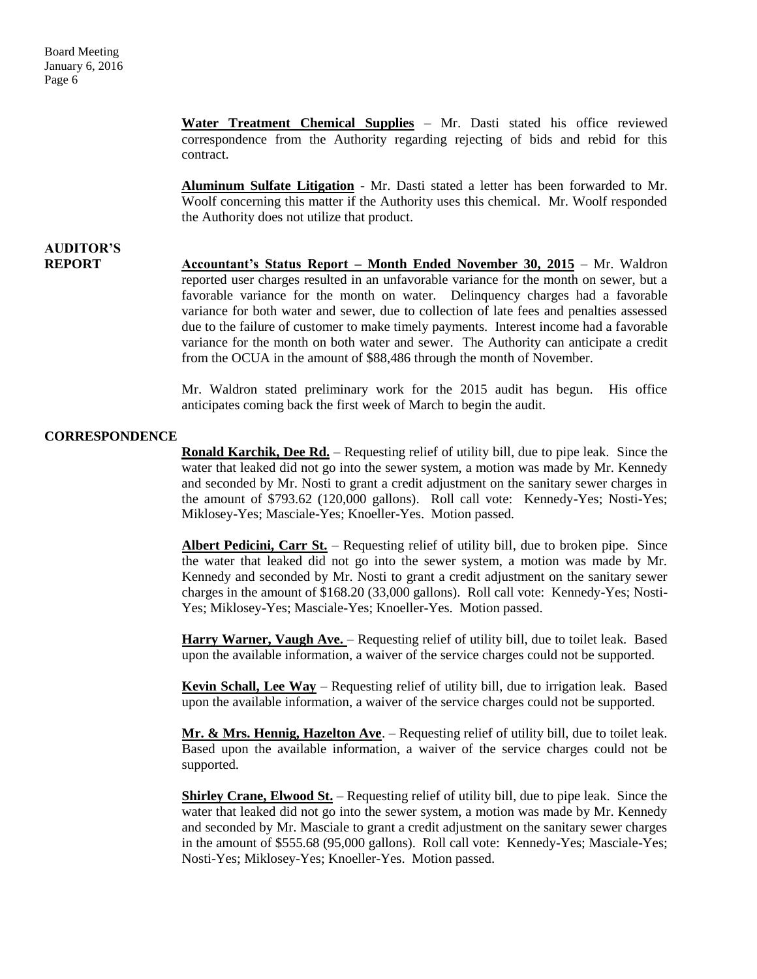**AUDITOR'S**

**Water Treatment Chemical Supplies** – Mr. Dasti stated his office reviewed correspondence from the Authority regarding rejecting of bids and rebid for this contract.

**Aluminum Sulfate Litigation** - Mr. Dasti stated a letter has been forwarded to Mr. Woolf concerning this matter if the Authority uses this chemical. Mr. Woolf responded the Authority does not utilize that product.

### **REPORT Accountant's Status Report – Month Ended November 30, 2015** – Mr. Waldron reported user charges resulted in an unfavorable variance for the month on sewer, but a favorable variance for the month on water. Delinquency charges had a favorable variance for both water and sewer, due to collection of late fees and penalties assessed due to the failure of customer to make timely payments. Interest income had a favorable variance for the month on both water and sewer. The Authority can anticipate a credit from the OCUA in the amount of \$88,486 through the month of November.

Mr. Waldron stated preliminary work for the 2015 audit has begun. His office anticipates coming back the first week of March to begin the audit.

#### **CORRESPONDENCE**

**Ronald Karchik, Dee Rd.** – Requesting relief of utility bill, due to pipe leak. Since the water that leaked did not go into the sewer system, a motion was made by Mr. Kennedy and seconded by Mr. Nosti to grant a credit adjustment on the sanitary sewer charges in the amount of \$793.62 (120,000 gallons). Roll call vote: Kennedy-Yes; Nosti-Yes; Miklosey-Yes; Masciale-Yes; Knoeller-Yes. Motion passed.

**Albert Pedicini, Carr St.** – Requesting relief of utility bill, due to broken pipe. Since the water that leaked did not go into the sewer system, a motion was made by Mr. Kennedy and seconded by Mr. Nosti to grant a credit adjustment on the sanitary sewer charges in the amount of \$168.20 (33,000 gallons). Roll call vote: Kennedy-Yes; Nosti-Yes; Miklosey-Yes; Masciale-Yes; Knoeller-Yes. Motion passed.

**Harry Warner, Vaugh Ave.** – Requesting relief of utility bill, due to toilet leak. Based upon the available information, a waiver of the service charges could not be supported.

**Kevin Schall, Lee Way** – Requesting relief of utility bill, due to irrigation leak. Based upon the available information, a waiver of the service charges could not be supported.

**Mr. & Mrs. Hennig, Hazelton Ave**. – Requesting relief of utility bill, due to toilet leak. Based upon the available information, a waiver of the service charges could not be supported.

**Shirley Crane, Elwood St.** – Requesting relief of utility bill, due to pipe leak. Since the water that leaked did not go into the sewer system, a motion was made by Mr. Kennedy and seconded by Mr. Masciale to grant a credit adjustment on the sanitary sewer charges in the amount of \$555.68 (95,000 gallons). Roll call vote: Kennedy-Yes; Masciale-Yes; Nosti-Yes; Miklosey-Yes; Knoeller-Yes. Motion passed.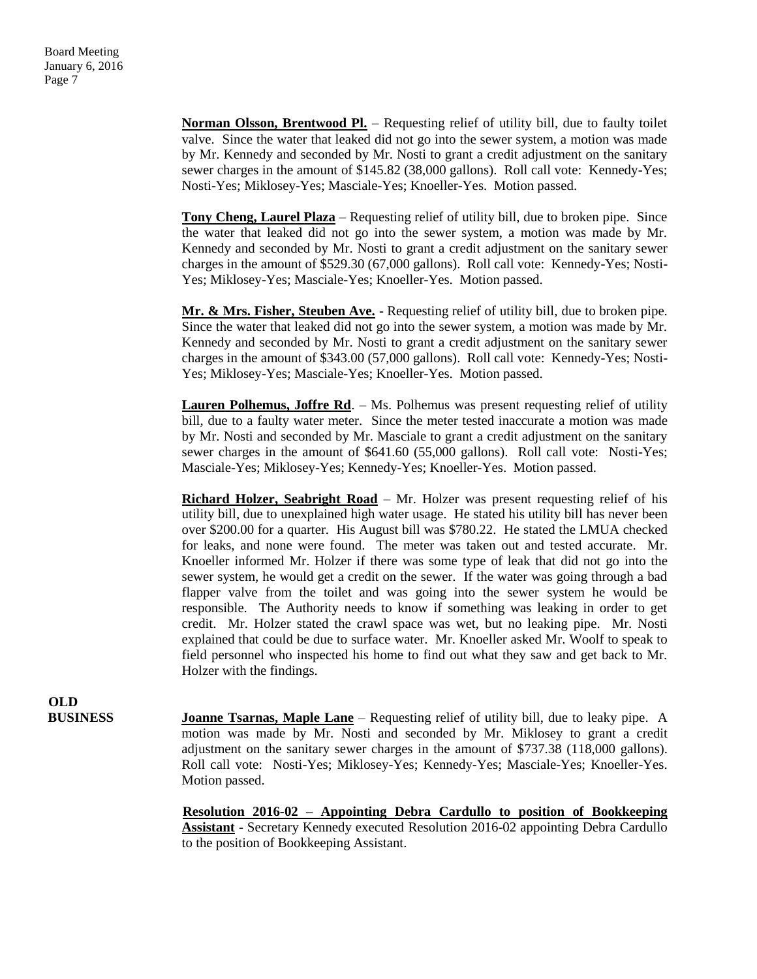**Norman Olsson, Brentwood Pl.** – Requesting relief of utility bill, due to faulty toilet valve. Since the water that leaked did not go into the sewer system, a motion was made by Mr. Kennedy and seconded by Mr. Nosti to grant a credit adjustment on the sanitary sewer charges in the amount of \$145.82 (38,000 gallons). Roll call vote: Kennedy-Yes; Nosti-Yes; Miklosey-Yes; Masciale-Yes; Knoeller-Yes. Motion passed.

**Tony Cheng, Laurel Plaza** – Requesting relief of utility bill, due to broken pipe. Since the water that leaked did not go into the sewer system, a motion was made by Mr. Kennedy and seconded by Mr. Nosti to grant a credit adjustment on the sanitary sewer charges in the amount of \$529.30 (67,000 gallons). Roll call vote: Kennedy-Yes; Nosti-Yes; Miklosey-Yes; Masciale-Yes; Knoeller-Yes. Motion passed.

**Mr. & Mrs. Fisher, Steuben Ave.** - Requesting relief of utility bill, due to broken pipe. Since the water that leaked did not go into the sewer system, a motion was made by Mr. Kennedy and seconded by Mr. Nosti to grant a credit adjustment on the sanitary sewer charges in the amount of \$343.00 (57,000 gallons). Roll call vote: Kennedy-Yes; Nosti-Yes; Miklosey-Yes; Masciale-Yes; Knoeller-Yes. Motion passed.

**Lauren Polhemus, Joffre Rd.** – Ms. Polhemus was present requesting relief of utility bill, due to a faulty water meter. Since the meter tested inaccurate a motion was made by Mr. Nosti and seconded by Mr. Masciale to grant a credit adjustment on the sanitary sewer charges in the amount of \$641.60 (55,000 gallons). Roll call vote: Nosti-Yes; Masciale-Yes; Miklosey-Yes; Kennedy-Yes; Knoeller-Yes. Motion passed.

**Richard Holzer, Seabright Road** – Mr. Holzer was present requesting relief of his utility bill, due to unexplained high water usage. He stated his utility bill has never been over \$200.00 for a quarter. His August bill was \$780.22. He stated the LMUA checked for leaks, and none were found. The meter was taken out and tested accurate. Mr. Knoeller informed Mr. Holzer if there was some type of leak that did not go into the sewer system, he would get a credit on the sewer. If the water was going through a bad flapper valve from the toilet and was going into the sewer system he would be responsible. The Authority needs to know if something was leaking in order to get credit. Mr. Holzer stated the crawl space was wet, but no leaking pipe. Mr. Nosti explained that could be due to surface water. Mr. Knoeller asked Mr. Woolf to speak to field personnel who inspected his home to find out what they saw and get back to Mr. Holzer with the findings.

**OLD**

**BUSINESS Joanne Tsarnas, Maple Lane** – Requesting relief of utility bill, due to leaky pipe. A motion was made by Mr. Nosti and seconded by Mr. Miklosey to grant a credit adjustment on the sanitary sewer charges in the amount of \$737.38 (118,000 gallons). Roll call vote: Nosti-Yes; Miklosey-Yes; Kennedy-Yes; Masciale-Yes; Knoeller-Yes. Motion passed.

> **Resolution 2016-02 – Appointing Debra Cardullo to position of Bookkeeping Assistant** - Secretary Kennedy executed Resolution 2016-02 appointing Debra Cardullo to the position of Bookkeeping Assistant.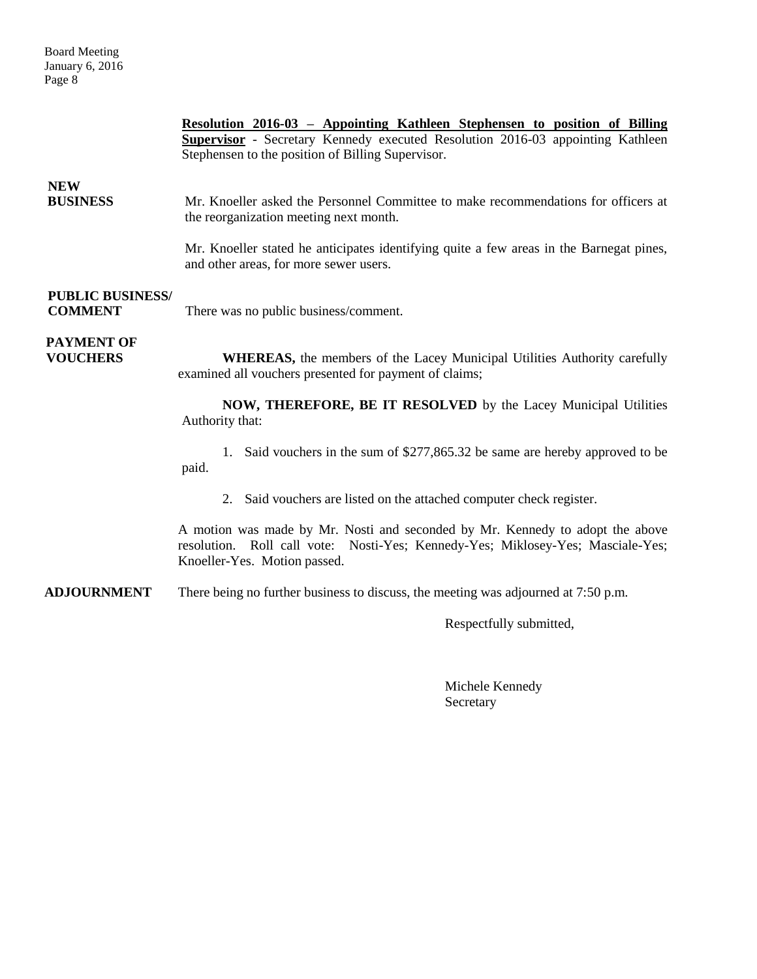|                                           | Resolution 2016-03 - Appointing Kathleen Stephensen to position of Billing<br><b>Supervisor</b> - Secretary Kennedy executed Resolution 2016-03 appointing Kathleen<br>Stephensen to the position of Billing Supervisor. |  |
|-------------------------------------------|--------------------------------------------------------------------------------------------------------------------------------------------------------------------------------------------------------------------------|--|
| <b>NEW</b><br><b>BUSINESS</b>             | Mr. Knoeller asked the Personnel Committee to make recommendations for officers at<br>the reorganization meeting next month.                                                                                             |  |
|                                           | Mr. Knoeller stated he anticipates identifying quite a few areas in the Barnegat pines,<br>and other areas, for more sewer users.                                                                                        |  |
| <b>PUBLIC BUSINESS/</b><br><b>COMMENT</b> | There was no public business/comment.                                                                                                                                                                                    |  |
| <b>PAYMENT OF</b><br><b>VOUCHERS</b>      | <b>WHEREAS</b> , the members of the Lacey Municipal Utilities Authority carefully<br>examined all vouchers presented for payment of claims;                                                                              |  |
|                                           | NOW, THEREFORE, BE IT RESOLVED by the Lacey Municipal Utilities<br>Authority that:                                                                                                                                       |  |
|                                           | 1. Said vouchers in the sum of \$277,865.32 be same are hereby approved to be<br>paid.                                                                                                                                   |  |
|                                           | 2. Said vouchers are listed on the attached computer check register.                                                                                                                                                     |  |
|                                           | A motion was made by Mr. Nosti and seconded by Mr. Kennedy to adopt the above<br>resolution. Roll call vote: Nosti-Yes; Kennedy-Yes; Miklosey-Yes; Masciale-Yes;<br>Knoeller-Yes. Motion passed.                         |  |
| <b>ADJOURNMENT</b>                        | There being no further business to discuss, the meeting was adjourned at $7:50$ p.m.                                                                                                                                     |  |
|                                           | Respectfully submitted,                                                                                                                                                                                                  |  |
|                                           |                                                                                                                                                                                                                          |  |

Michele Kennedy Secretary